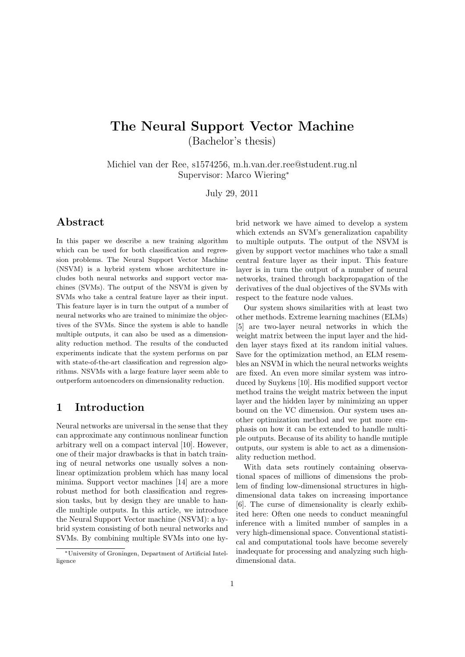# The Neural Support Vector Machine (Bachelor's thesis)

Michiel van der Ree, s1574256, m.h.van.der.ree@student.rug.nl Supervisor: Marco Wiering<sup>∗</sup>

July 29, 2011

## Abstract

In this paper we describe a new training algorithm which can be used for both classification and regression problems. The Neural Support Vector Machine (NSVM) is a hybrid system whose architecture includes both neural networks and support vector machines (SVMs). The output of the NSVM is given by SVMs who take a central feature layer as their input. This feature layer is in turn the output of a number of neural networks who are trained to minimize the objectives of the SVMs. Since the system is able to handle multiple outputs, it can also be used as a dimensionality reduction method. The results of the conducted experiments indicate that the system performs on par with state-of-the-art classification and regression algorithms. NSVMs with a large feature layer seem able to outperform autoencoders on dimensionality reduction.

## 1 Introduction

Neural networks are universal in the sense that they can approximate any continuous nonlinear function arbitrary well on a compact interval [10]. However, one of their major drawbacks is that in batch training of neural networks one usually solves a nonlinear optimization problem which has many local minima. Support vector machines [14] are a more robust method for both classification and regression tasks, but by design they are unable to handle multiple outputs. In this article, we introduce the Neural Support Vector machine (NSVM): a hybrid system consisting of both neural networks and SVMs. By combining multiple SVMs into one hybrid network we have aimed to develop a system which extends an SVM's generalization capability to multiple outputs. The output of the NSVM is given by support vector machines who take a small central feature layer as their input. This feature layer is in turn the output of a number of neural networks, trained through backpropagation of the derivatives of the dual objectives of the SVMs with respect to the feature node values.

Our system shows similarities with at least two other methods. Extreme learning machines (ELMs) [5] are two-layer neural networks in which the weight matrix between the input layer and the hidden layer stays fixed at its random initial values. Save for the optimization method, an ELM resembles an NSVM in which the neural networks weights are fixed. An even more similar system was introduced by Suykens [10]. His modified support vector method trains the weight matrix between the input layer and the hidden layer by minimizing an upper bound on the VC dimension. Our system uses another optimization method and we put more emphasis on how it can be extended to handle multiple outputs. Because of its ability to handle mutiple outputs, our system is able to act as a dimensionality reduction method.

With data sets routinely containing observational spaces of millions of dimensions the problem of finding low-dimensional structures in highdimensional data takes on increasing importance [6]. The curse of dimensionality is clearly exhibited here: Often one needs to conduct meaningful inference with a limited number of samples in a very high-dimensional space. Conventional statistical and computational tools have become severely inadequate for processing and analyzing such highdimensional data.

<sup>∗</sup>University of Groningen, Department of Artificial Intelligence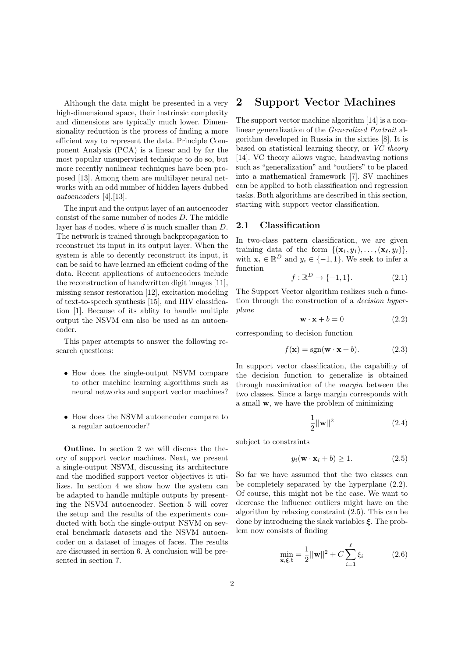Although the data might be presented in a very high-dimensional space, their instrinsic complexity and dimensions are typically much lower. Dimensionality reduction is the process of finding a more efficient way to represent the data. Principle Component Analysis (PCA) is a linear and by far the most popular unsupervised technique to do so, but more recently nonlinear techniques have been proposed [13]. Among them are multilayer neural networks with an odd number of hidden layers dubbed autoencoders [4],[13].

The input and the output layer of an autoencoder consist of the same number of nodes D. The middle layer has d nodes, where d is much smaller than D. The network is trained through backpropagation to reconstruct its input in its output layer. When the system is able to decently reconstruct its input, it can be said to have learned an efficient coding of the data. Recent applications of autoencoders include the reconstruction of handwritten digit images [11], missing sensor restoration [12], excitation modeling of text-to-speech synthesis [15], and HIV classification [1]. Because of its ablity to handle multiple output the NSVM can also be used as an autoencoder.

This paper attempts to answer the following research questions:

- How does the single-output NSVM compare to other machine learning algorithms such as neural networks and support vector machines?
- How does the NSVM autoencoder compare to a regular autoencoder?

Outline. In section 2 we will discuss the theory of support vector machines. Next, we present a single-output NSVM, discussing its architecture and the modified support vector objectives it utilizes. In section 4 we show how the system can be adapted to handle multiple outputs by presenting the NSVM autoencoder. Section 5 will cover the setup and the results of the experiments conducted with both the single-output NSVM on several benchmark datasets and the NSVM autoencoder on a dataset of images of faces. The results are discussed in section 6. A conclusion will be presented in section 7.

### 2 Support Vector Machines

The support vector machine algorithm [14] is a nonlinear generalization of the Generalized Portrait algorithm developed in Russia in the sixties [8]. It is based on statistical learning theory, or VC theory [14]. VC theory allows vague, handwaving notions such as "generalization" and "outliers" to be placed into a mathematical framework [7]. SV machines can be applied to both classification and regression tasks. Both algorithms are described in this section, starting with support vector classification.

#### 2.1 Classification

In two-class pattern classification, we are given training data of the form  $\{(\mathbf{x}_1, y_1), \ldots, (\mathbf{x}_\ell, y_\ell)\},\$ with  $\mathbf{x}_i \in \mathbb{R}^D$  and  $y_i \in \{-1, 1\}$ . We seek to infer a function

$$
f: \mathbb{R}^D \to \{-1, 1\}.
$$
 (2.1)

The Support Vector algorithm realizes such a function through the construction of a decision hyperplane

$$
\mathbf{w} \cdot \mathbf{x} + b = 0 \tag{2.2}
$$

corresponding to decision function

$$
f(\mathbf{x}) = sgn(\mathbf{w} \cdot \mathbf{x} + b).
$$
 (2.3)

In support vector classification, the capability of the decision function to generalize is obtained through maximization of the margin between the two classes. Since a large margin corresponds with a small w, we have the problem of minimizing

$$
\frac{1}{2}||\mathbf{w}||^2
$$
 (2.4)

subject to constraints

$$
y_i(\mathbf{w} \cdot \mathbf{x}_i + b) \ge 1. \tag{2.5}
$$

So far we have assumed that the two classes can be completely separated by the hyperplane (2.2). Of course, this might not be the case. We want to decrease the influence outliers might have on the algorithm by relaxing constraint (2.5). This can be done by introducing the slack variables  $\xi$ . The problem now consists of finding

$$
\min_{\mathbf{x}, \xi, b} = \frac{1}{2} ||\mathbf{w}||^2 + C \sum_{i=1}^{\ell} \xi_i
$$
 (2.6)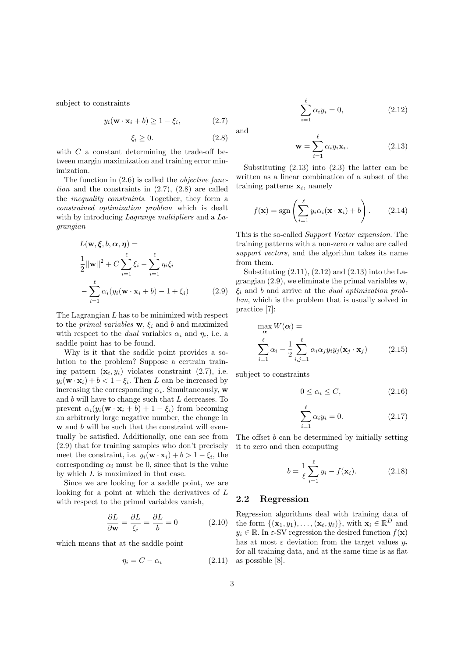subject to constraints

$$
y_i(\mathbf{w} \cdot \mathbf{x}_i + b) \ge 1 - \xi_i, \tag{2.7}
$$

$$
\xi_i \ge 0. \tag{2.8}
$$

with  $C$  a constant determining the trade-off between margin maximization and training error minimization.

The function in  $(2.6)$  is called the *objective func*tion and the constraints in  $(2.7)$ ,  $(2.8)$  are called the inequality constraints. Together, they form a constrained optimization problem which is dealt with by introducing Lagrange multipliers and a Lagrangian

$$
L(\mathbf{w}, \boldsymbol{\xi}, b, \boldsymbol{\alpha}, \boldsymbol{\eta}) =
$$
  
\n
$$
\frac{1}{2} ||\mathbf{w}||^2 + C \sum_{i=1}^{\ell} \xi_i - \sum_{i=1}^{\ell} \eta_i \xi_i
$$
  
\n
$$
- \sum_{i=1}^{\ell} \alpha_i (y_i (\mathbf{w} \cdot \mathbf{x}_i + b) - 1 + \xi_i)
$$
(2.9)

The Lagrangian  $L$  has to be minimized with respect to the *primal variables*  $\mathbf{w}, \xi_i$  and b and maximized with respect to the *dual* variables  $\alpha_i$  and  $\eta_i$ , i.e. a saddle point has to be found.

Why is it that the saddle point provides a solution to the problem? Suppose a certrain training pattern  $(\mathbf{x}_i, y_i)$  violates constraint  $(2.7)$ , i.e.  $y_i(\mathbf{w} \cdot \mathbf{x}_i) + b < 1 - \xi_i$ . Then L can be increased by increasing the corresponding  $\alpha_i$ . Simultaneously, w and  $b$  will have to change such that  $L$  decreases. To prevent  $\alpha_i(y_i(\mathbf{w} \cdot \mathbf{x}_i + b) + 1 - \xi_i)$  from becoming an arbitrarly large negative number, the change in w and b will be such that the constraint will eventually be satisfied. Additionally, one can see from (2.9) that for training samples who don't precisely meet the constraint, i.e.  $y_i(\mathbf{w} \cdot \mathbf{x}_i) + b > 1 - \xi_i$ , the corresponding  $\alpha_i$  must be 0, since that is the value by which  $L$  is maximized in that case.

Since we are looking for a saddle point, we are looking for a point at which the derivatives of L with respect to the primal variables vanish,

$$
\frac{\partial L}{\partial \mathbf{w}} = \frac{\partial L}{\xi_i} = \frac{\partial L}{b} = 0 \tag{2.10}
$$

which means that at the saddle point

$$
\eta_i = C - \alpha_i \tag{2.11}
$$

and

$$
\mathbf{w} = \sum_{i=1}^{\ell} \alpha_i y_i \mathbf{x}_i.
$$
 (2.13)

 $\alpha_i y_i = 0,$  (2.12)

Substituting (2.13) into (2.3) the latter can be written as a linear combination of a subset of the training patterns  $x_i$ , namely

 $\sum^{\ell}$  $i=1$ 

$$
f(\mathbf{x}) = \text{sgn}\left(\sum_{i=1}^{\ell} y_i \alpha_i (\mathbf{x} \cdot \mathbf{x}_i) + b\right).
$$
 (2.14)

This is the so-called Support Vector expansion. The training patterns with a non-zero  $\alpha$  value are called support vectors, and the algorithm takes its name from them.

Substituting  $(2.11)$ ,  $(2.12)$  and  $(2.13)$  into the Lagrangian  $(2.9)$ , we eliminate the primal variables w,  $\xi_i$  and b and arrive at the *dual optimization prob*lem, which is the problem that is usually solved in practice [7]:

$$
\max_{\mathbf{\alpha}} W(\mathbf{\alpha}) =
$$
\n
$$
\sum_{i=1}^{\ell} \alpha_i - \frac{1}{2} \sum_{i,j=1}^{\ell} \alpha_i \alpha_j y_i y_j (\mathbf{x}_j \cdot \mathbf{x}_j) \tag{2.15}
$$

subject to constraints

$$
0 \le \alpha_i \le C,\tag{2.16}
$$

$$
\sum_{i=1}^{\ell} \alpha_i y_i = 0.
$$
\n(2.17)

The offset b can be determined by initially setting it to zero and then computing

$$
b = \frac{1}{\ell} \sum_{i=1}^{\ell} y_i - f(\mathbf{x}_i).
$$
 (2.18)

### 2.2 Regression

Regression algorithms deal with training data of the form  $\{(\mathbf{x}_1, y_1), \ldots, (\mathbf{x}_\ell, y_\ell)\}\$ , with  $\mathbf{x}_i \in \mathbb{R}^D$  and  $y_i \in \mathbb{R}$ . In  $\varepsilon$ -SV regression the desired function  $f(\mathbf{x})$ has at most  $\varepsilon$  deviation from the target values  $y_i$ for all training data, and at the same time is as flat as possible [8].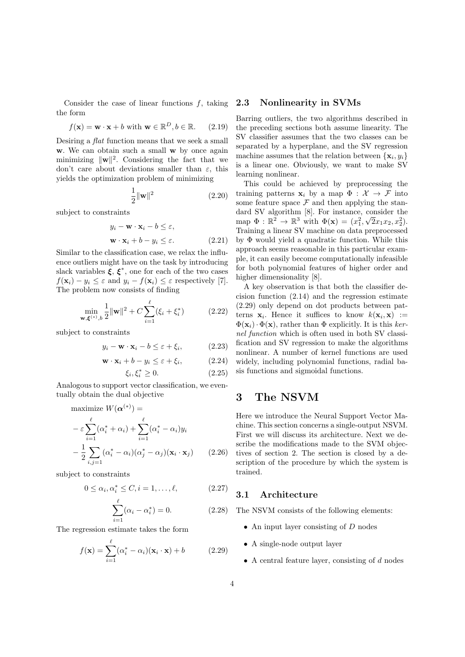Consider the case of linear functions  $f$ , taking the form

$$
f(\mathbf{x}) = \mathbf{w} \cdot \mathbf{x} + b \text{ with } \mathbf{w} \in \mathbb{R}^D, b \in \mathbb{R}. \qquad (2.19)
$$

Desiring a flat function means that we seek a small w. We can obtain such a small w by once again minimizing  $\|\mathbf{w}\|^2$ . Considering the fact that we don't care about deviations smaller than  $\varepsilon$ , this yields the optimization problem of minimizing

$$
\frac{1}{2} \|\mathbf{w}\|^2 \tag{2.20}
$$

subject to constraints

$$
y_i - \mathbf{w} \cdot \mathbf{x}_i - b \le \varepsilon,
$$
  

$$
\mathbf{w} \cdot \mathbf{x}_i + b - y_i \le \varepsilon.
$$
 (2.21)

Similar to the classification case, we relax the influence outliers might have on the task by introducing slack variables  $\xi, \xi^*$ , one for each of the two cases  $f(\mathbf{x}_i) - y_i \leq \varepsilon$  and  $y_i - f(\mathbf{x}_i) \leq \varepsilon$  respectively [7]. The problem now consists of finding

$$
\min_{\mathbf{w}, \xi^{(*)}, b} \frac{1}{2} ||\mathbf{w}||^2 + C \sum_{i=1}^{\ell} (\xi_i + \xi_i^*)
$$
\n(2.22)

subject to constraints

$$
y_i - \mathbf{w} \cdot \mathbf{x}_i - b \le \varepsilon + \xi_i, \tag{2.23}
$$

$$
\mathbf{w} \cdot \mathbf{x}_i + b - y_i \le \varepsilon + \xi_i, \tag{2.24}
$$

$$
\xi_i, \xi_i^* \ge 0. \tag{2.25}
$$

Analogous to support vector classification, we eventually obtain the dual objective

maximize 
$$
W(\boldsymbol{\alpha}^{(*)})
$$
 =  
\n
$$
-\varepsilon \sum_{i=1}^{\ell} (\alpha_i^* + \alpha_i) + \sum_{i=1}^{\ell} (\alpha_i^* - \alpha_i) y_i
$$
\n
$$
-\frac{1}{2} \sum_{i,j=1}^{\ell} (\alpha_i^* - \alpha_i) (\alpha_j^* - \alpha_j) (\mathbf{x}_i \cdot \mathbf{x}_j)
$$
(2.26)

subject to constraints

$$
0 \le \alpha_i, \alpha_i^* \le C, i = 1, \dots, \ell,
$$
\n
$$
(2.27)
$$

$$
\sum_{i=1}^{\ell} (\alpha_i - \alpha_i^*) = 0.
$$
 (2.28)

The regression estimate takes the form

$$
f(\mathbf{x}) = \sum_{i=1}^{\ell} (\alpha_i^* - \alpha_i)(\mathbf{x}_i \cdot \mathbf{x}) + b \qquad (2.29)
$$

#### 2.3 Nonlinearity in SVMs

Barring outliers, the two algorithms described in the preceding sections both assume linearity. The SV classifier assumes that the two classes can be separated by a hyperplane, and the SV regression machine assumes that the relation between  $\{x_i, y_i\}$ is a linear one. Obviously, we want to make SV learning nonlinear.

This could be achieved by preprocessing the training patterns  $\mathbf{x}_i$  by a map  $\Phi : \mathcal{X} \to \mathcal{F}$  into some feature space  $\mathcal F$  and then applying the standard SV algorithm [8]. For instance, consider the map  $\Phi : \mathbb{R}^2 \to \mathbb{R}^3$  with  $\Phi(\mathbf{x}) = (x_1^2, \sqrt{2}x_1x_2, x_2^2)$ . Training a linear SV machine on data preprocessed by Φ would yield a quadratic function. While this approach seems reasonable in this particular example, it can easily become computationally infeasible for both polynomial features of higher order and higher dimensionality [8].

A key observation is that both the classifier decision function (2.14) and the regression estimate (2.29) only depend on dot products between patterns  $\mathbf{x}_i$ . Hence it suffices to know  $k(\mathbf{x}_i, \mathbf{x}) :=$  $\Phi(\mathbf{x}_i) \cdot \Phi(\mathbf{x})$ , rather than  $\Phi$  explicitly. It is this kernel function which is often used in both SV classification and SV regression to make the algorithms nonlinear. A number of kernel functions are used widely, including polynomial functions, radial basis functions and sigmoidal functions.

## 3 The NSVM

Here we introduce the Neural Support Vector Machine. This section concerns a single-output NSVM. First we will discuss its architecture. Next we describe the modifications made to the SVM objectives of section 2. The section is closed by a description of the procedure by which the system is trained.

#### 3.1 Architecture

The NSVM consists of the following elements:

- An input layer consisting of  $D$  nodes
- A single-node output layer
- A central feature layer, consisting of  $d$  nodes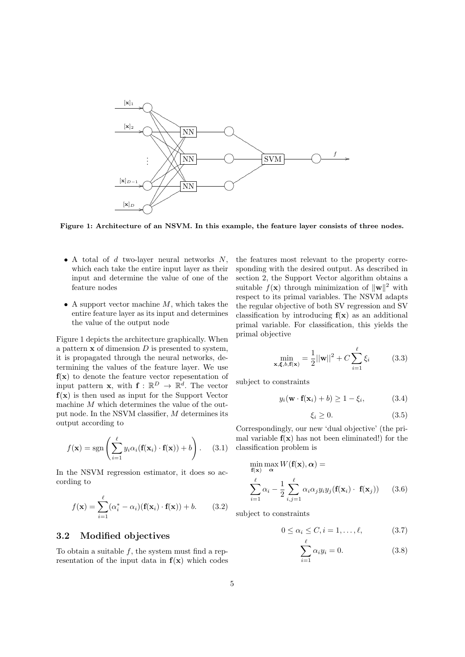

Figure 1: Architecture of an NSVM. In this example, the feature layer consists of three nodes.

- A total of  $d$  two-layer neural networks  $N$ , which each take the entire input layer as their input and determine the value of one of the feature nodes
- A support vector machine  $M$ , which takes the entire feature layer as its input and determines the value of the output node

Figure 1 depicts the architecture graphically. When a pattern  $x$  of dimension  $D$  is presented to system, it is propagated through the neural networks, determining the values of the feature layer. We use  $f(x)$  to denote the feature vector repesentation of input pattern **x**, with  $f: \mathbb{R}^D \to \mathbb{R}^d$ . The vector  $f(x)$  is then used as input for the Support Vector machine  $M$  which determines the value of the output node. In the NSVM classifier, M determines its output according to

$$
f(\mathbf{x}) = \text{sgn}\left(\sum_{i=1}^{\ell} y_i \alpha_i (\mathbf{f}(\mathbf{x}_i) \cdot \mathbf{f}(\mathbf{x})) + b\right).
$$
 (3.1)

In the NSVM regression estimator, it does so according to

$$
f(\mathbf{x}) = \sum_{i=1}^{\ell} (\alpha_i^* - \alpha_i)(\mathbf{f}(\mathbf{x}_i) \cdot \mathbf{f}(\mathbf{x})) + b.
$$
 (3.2)

### 3.2 Modified objectives

To obtain a suitable  $f$ , the system must find a representation of the input data in  $f(x)$  which codes the features most relevant to the property corresponding with the desired output. As described in section 2, the Support Vector algorithm obtains a suitable  $f(\mathbf{x})$  through minimization of  $\|\mathbf{w}\|^2$  with respect to its primal variables. The NSVM adapts the regular objective of both SV regression and SV classification by introducing  $f(x)$  as an additional primal variable. For classification, this yields the primal objective

$$
\min_{\mathbf{x}, \mathbf{\xi}, b, \mathbf{f}(\mathbf{x})} = \frac{1}{2} ||\mathbf{w}||^2 + C \sum_{i=1}^{\ell} \xi_i
$$
 (3.3)

subject to constraints

$$
y_i(\mathbf{w} \cdot \mathbf{f}(\mathbf{x}_i) + b) \ge 1 - \xi_i,
$$
 (3.4)

$$
\xi_i \ge 0. \tag{3.5}
$$

Correspondingly, our new 'dual objective' (the primal variable  $f(x)$  has not been eliminated!) for the classification problem is

$$
\min_{\mathbf{f}(\mathbf{x})} \max_{\alpha} W(\mathbf{f}(\mathbf{x}), \alpha) =
$$
\n
$$
\sum_{i=1}^{\ell} \alpha_i - \frac{1}{2} \sum_{i,j=1}^{\ell} \alpha_i \alpha_j y_i y_j(\mathbf{f}(\mathbf{x}_i) \cdot \mathbf{f}(\mathbf{x}_j)) \qquad (3.6)
$$

subject to constraints

$$
0 \le \alpha_i \le C, i = 1, \dots, \ell, \tag{3.7}
$$

$$
\sum_{i=1}^{\ell} \alpha_i y_i = 0. \tag{3.8}
$$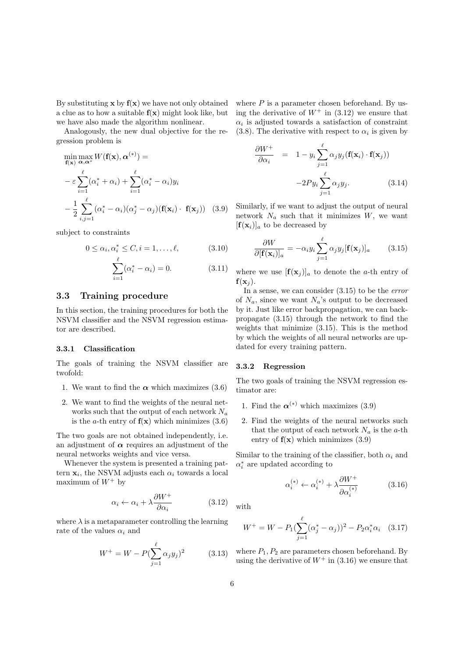By substituting  $x$  by  $f(x)$  we have not only obtained a clue as to how a suitable  $f(x)$  might look like, but we have also made the algorithm nonlinear.

Analogously, the new dual objective for the regression problem is

$$
\min_{\mathbf{f}(\mathbf{x})} \max_{\alpha, \alpha^*} W(\mathbf{f}(\mathbf{x}), \alpha^{(*)}) =
$$
\n
$$
- \varepsilon \sum_{i=1}^{\ell} (\alpha_i^* + \alpha_i) + \sum_{i=1}^{\ell} (\alpha_i^* - \alpha_i) y_i
$$
\n
$$
- \frac{1}{2} \sum_{i,j=1}^{\ell} (\alpha_i^* - \alpha_i) (\alpha_j^* - \alpha_j) (\mathbf{f}(\mathbf{x}_i) \cdot \mathbf{f}(\mathbf{x}_j)) \quad (3.9)
$$

subject to constraints

$$
0 \leq \alpha_i, \alpha_i^* \leq C, i = 1, \dots, \ell,
$$
\n
$$
(3.10)
$$

$$
\sum_{i=1}^{\ell} (\alpha_i^* - \alpha_i) = 0.
$$
 (3.11)

### 3.3 Training procedure

In this section, the training procedures for both the NSVM classifier and the NSVM regression estimator are described.

#### 3.3.1 Classification

The goals of training the NSVM classifier are twofold:

- 1. We want to find the  $\alpha$  which maximizes (3.6)
- 2. We want to find the weights of the neural networks such that the output of each network  $N_a$ is the *a*-th entry of  $f(x)$  which minimizes (3.6)

The two goals are not obtained independently, i.e. an adjustment of  $\alpha$  requires an adjustment of the neural networks weights and vice versa.

Whenever the system is presented a training pattern  $\mathbf{x}_i$ , the NSVM adjusts each  $\alpha_i$  towards a local maximum of  $W^+$  by

$$
\alpha_i \leftarrow \alpha_i + \lambda \frac{\partial W^+}{\partial \alpha_i} \tag{3.12}
$$

where  $\lambda$  is a metaparameter controlling the learning rate of the values  $\alpha_i$  and

$$
W^{+} = W - P(\sum_{j=1}^{\ell} \alpha_j y_j)^2 \qquad (3.13)
$$

where  $P$  is a parameter chosen beforehand. By using the derivative of  $W^+$  in (3.12) we ensure that  $\alpha_i$  is adjusted towards a satisfaction of constraint (3.8). The derivative with respect to  $\alpha_i$  is given by

$$
\frac{\partial W^+}{\partial \alpha_i} = 1 - y_i \sum_{j=1}^{\ell} \alpha_j y_j (\mathbf{f}(\mathbf{x}_i) \cdot \mathbf{f}(\mathbf{x}_j))
$$

$$
-2Py_i \sum_{j=1}^{\ell} \alpha_j y_j. \tag{3.14}
$$

Similarly, if we want to adjust the output of neural network  $N_a$  such that it minimizes  $W$ , we want  $[\mathbf{f}(\mathbf{x}_i)]_a$  to be decreased by

$$
\frac{\partial W}{\partial [\mathbf{f}(\mathbf{x}_i)]_a} = -\alpha_i y_i \sum_{j=1}^{\ell} \alpha_j y_j [\mathbf{f}(\mathbf{x}_j)]_a \qquad (3.15)
$$

where we use  $[\mathbf{f}(\mathbf{x}_i)]_a$  to denote the *a*-th entry of  $f(\mathbf{x}_i)$ .

In a sense, we can consider (3.15) to be the error of  $N_a$ , since we want  $N_a$ 's output to be decreased by it. Just like error backpropagation, we can backpropagate (3.15) through the network to find the weights that minimize (3.15). This is the method by which the weights of all neural networks are updated for every training pattern.

#### 3.3.2 Regression

The two goals of training the NSVM regression estimator are:

- 1. Find the  $\alpha^{(*)}$  which maximizes (3.9)
- 2. Find the weights of the neural networks such that the output of each network  $N_a$  is the a-th entry of  $f(x)$  which minimizes  $(3.9)$

Similar to the training of the classifier, both  $\alpha_i$  and  $\alpha_i^*$  are updated according to

$$
\alpha_i^{(*)} \leftarrow \alpha_i^{(*)} + \lambda \frac{\partial W^+}{\partial \alpha_i^{(*)}} \tag{3.16}
$$

with

$$
W^{+} = W - P_{1}(\sum_{j=1}^{\ell} (\alpha_{j}^{*} - \alpha_{j}))^{2} - P_{2} \alpha_{i}^{*} \alpha_{i} \quad (3.17)
$$

where  $P_1, P_2$  are parameters chosen beforehand. By using the derivative of  $W^+$  in (3.16) we ensure that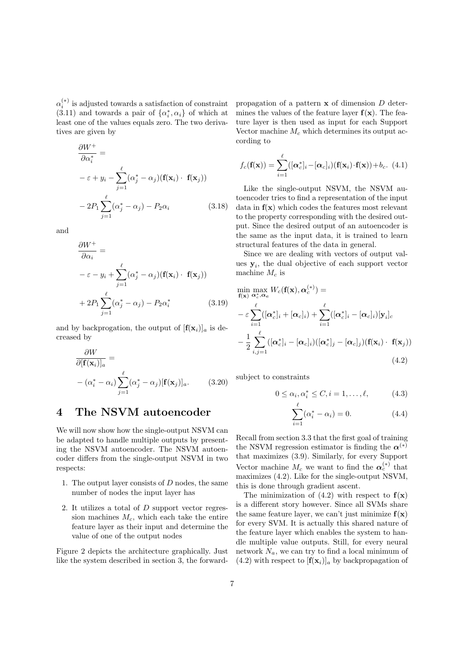$\alpha_i^{(*)}$  is adjusted towards a satisfaction of constraint (3.11) and towards a pair of  $\{\alpha_i^*,\alpha_i\}$  of which at least one of the values equals zero. The two derivatives are given by

$$
\frac{\partial W^+}{\partial \alpha_i^*} =
$$
  

$$
-\varepsilon + y_i - \sum_{j=1}^{\ell} (\alpha_j^* - \alpha_j) (\mathbf{f}(\mathbf{x}_i) \cdot \mathbf{f}(\mathbf{x}_j))
$$
  

$$
-2P_1 \sum_{j=1}^{\ell} (\alpha_j^* - \alpha_j) - P_2 \alpha_i \qquad (3.18)
$$

and

$$
\frac{\partial W^+}{\partial \alpha_i} =
$$
\n
$$
-\varepsilon - y_i + \sum_{j=1}^{\ell} (\alpha_j^* - \alpha_j) (\mathbf{f}(\mathbf{x}_i) \cdot \mathbf{f}(\mathbf{x}_j))
$$
\n
$$
+ 2P_1 \sum_{j=1}^{\ell} (\alpha_j^* - \alpha_j) - P_2 \alpha_i^*
$$
\n(3.19)

and by backprogation, the output of  $[f(x_i)]_a$  is decreased by

$$
\frac{\partial W}{\partial [\mathbf{f}(\mathbf{x}_i)]_a} =
$$
  
 
$$
-(\alpha_i^* - \alpha_i) \sum_{j=1}^{\ell} (\alpha_j^* - \alpha_j) [\mathbf{f}(\mathbf{x}_j)]_a.
$$
 (3.20)

## 4 The NSVM autoencoder

We will now show how the single-output NSVM can be adapted to handle multiple outputs by presenting the NSVM autoencoder. The NSVM autoencoder differs from the single-output NSVM in two respects:

- 1. The output layer consists of  $D$  nodes, the same number of nodes the input layer has
- 2. It utilizes a total of D support vector regression machines  $M_c$ , which each take the entire feature layer as their input and determine the value of one of the output nodes

Figure 2 depicts the architecture graphically. Just like the system described in section 3, the forwardpropagation of a pattern  $x$  of dimension  $D$  determines the values of the feature layer  $f(x)$ . The feature layer is then used as input for each Support Vector machine  $M_c$  which determines its output according to

$$
f_c(\mathbf{f}(\mathbf{x})) = \sum_{i=1}^{\ell} ([\boldsymbol{\alpha}_c^*]_i - [\boldsymbol{\alpha}_c]_i)(\mathbf{f}(\mathbf{x}_i) \cdot \mathbf{f}(\mathbf{x})) + b_c.
$$
 (4.1)

Like the single-output NSVM, the NSVM autoencoder tries to find a representation of the input data in  $f(x)$  which codes the features most relevant to the property corresponding with the desired output. Since the desired output of an autoencoder is the same as the input data, it is trained to learn structural features of the data in general.

Since we are dealing with vectors of output values  $y_i$ , the dual objective of each support vector machine  $M_c$  is

$$
\min_{\mathbf{f}(\mathbf{x})} \max_{\mathbf{\alpha}_c^*, \mathbf{\alpha}_c} W_c(\mathbf{f}(\mathbf{x}), \mathbf{\alpha}_c^{(*)}) =
$$
\n
$$
- \varepsilon \sum_{i=1}^{\ell} ([\mathbf{\alpha}_c^*]_i + [\mathbf{\alpha}_c]_i) + \sum_{i=1}^{\ell} ([\mathbf{\alpha}_c^*]_i - [\mathbf{\alpha}_c]_i) [\mathbf{y}_i]_c
$$
\n
$$
- \frac{1}{2} \sum_{i,j=1}^{\ell} ([\mathbf{\alpha}_c^*]_i - [\mathbf{\alpha}_c]_i) ([\mathbf{\alpha}_c^*]_j - [\mathbf{\alpha}_c]_j) (\mathbf{f}(\mathbf{x}_i) \cdot \mathbf{f}(\mathbf{x}_j))
$$
\n(4.2)

subject to constraints

$$
0 \le \alpha_i, \alpha_i^* \le C, i = 1, \dots, \ell,
$$
\n(4.3)

$$
\sum_{i=1}^{\ell} (\alpha_i^* - \alpha_i) = 0.
$$
 (4.4)

Recall from section 3.3 that the first goal of training the NSVM regression estimator is finding the  $\alpha^{(*)}$ that maximizes (3.9). Similarly, for every Support Vector machine  $M_c$  we want to find the  $\alpha_c^{(*)}$  that maximizes (4.2). Like for the single-output NSVM, this is done through gradient ascent.

The minimization of  $(4.2)$  with respect to  $f(x)$ is a different story however. Since all SVMs share the same feature layer, we can't just minimize  $f(x)$ for every SVM. It is actually this shared nature of the feature layer which enables the system to handle multiple value outputs. Still, for every neural network  $N_a$ , we can try to find a local minimum of  $(4.2)$  with respect to  $[f(x_i)]_a$  by backpropagation of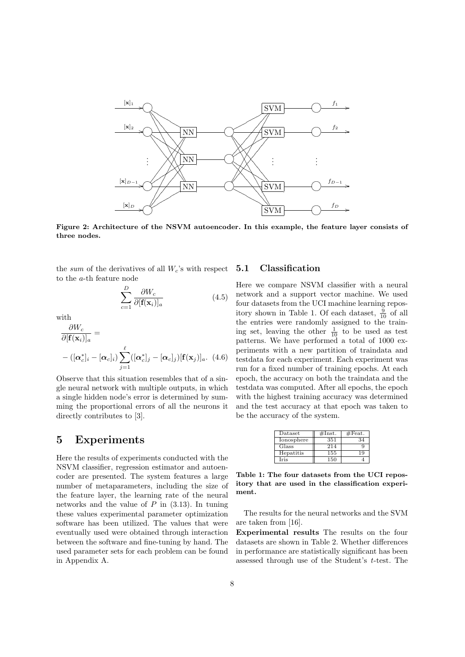

Figure 2: Architecture of the NSVM autoencoder. In this example, the feature layer consists of three nodes.

the sum of the derivatives of all  $W_c$ 's with respect to the a-th feature node

$$
\sum_{c=1}^{D} \frac{\partial W_c}{\partial [\mathbf{f}(\mathbf{x}_i)]_a} \tag{4.5}
$$

with

$$
\frac{\partial W_c}{\partial [\mathbf{f}(\mathbf{x}_i)]_a} =
$$
  
-( $[\boldsymbol{\alpha}_c^*]_i - [\boldsymbol{\alpha}_c]_i$ )  $\sum_{j=1}^{\ell} ([\boldsymbol{\alpha}_c^*]_j - [\boldsymbol{\alpha}_c]_j) [\mathbf{f}(\mathbf{x}_j)]_a$ . (4.6)

Observe that this situation resembles that of a single neural network with multiple outputs, in which a single hidden node's error is determined by summing the proportional errors of all the neurons it directly contributes to [3].

### 5 Experiments

Here the results of experiments conducted with the NSVM classifier, regression estimator and autoencoder are presented. The system features a large number of metaparameters, including the size of the feature layer, the learning rate of the neural networks and the value of  $P$  in  $(3.13)$ . In tuning these values experimental parameter optimization software has been utilized. The values that were eventually used were obtained through interaction between the software and fine-tuning by hand. The used parameter sets for each problem can be found in Appendix A.

### 5.1 Classification

Here we compare NSVM classifier with a neural network and a support vector machine. We used four datasets from the UCI machine learning repository shown in Table 1. Of each dataset,  $\frac{9}{10}$  of all the entries were randomly assigned to the training set, leaving the other  $\frac{1}{10}$  to be used as test patterns. We have performed a total of 1000 experiments with a new partition of traindata and testdata for each experiment. Each experiment was run for a fixed number of training epochs. At each epoch, the accuracy on both the traindata and the testdata was computed. After all epochs, the epoch with the highest training accuracy was determined and the test accuracy at that epoch was taken to be the accuracy of the system.

| Dataset     | #Inst. | $#$ Feat. |
|-------------|--------|-----------|
| Ionosphere  | 351    | 34        |
| Glass       | 214    |           |
| Hepatitis   | 155    | 19        |
| <b>Iris</b> | 150    |           |

Table 1: The four datasets from the UCI repository that are used in the classification experiment.

The results for the neural networks and the SVM are taken from [16].

Experimental results The results on the four datasets are shown in Table 2. Whether differences in performance are statistically significant has been assessed through use of the Student's t-test. The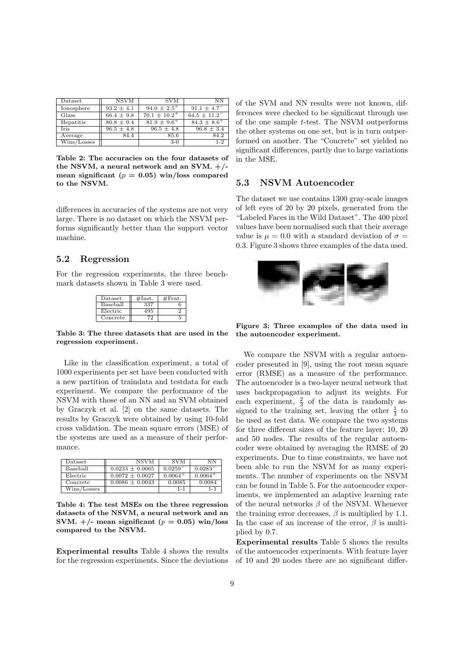| Dataset     | <b>NSVM</b>    | <b>SVM</b>                | NΝ                  |
|-------------|----------------|---------------------------|---------------------|
| Ionosphere  | $93.2 \pm 4.1$ | $94.0 \pm 2.5^{+}$        | $91.1 + 4.7^{-}$    |
| Glass       | $66.4 \pm 9.8$ | $70.1 + 10.2^{+}$         | $64.5 \pm 11.2^{-}$ |
| Hepatitis   | $80.8 \pm 9.4$ | $81.9 \pm 9.6^+$          | $84.3 \pm 8.6^+$    |
| <b>Iris</b> | $96.5 \pm 4.8$ | $96.5 \pm \overline{4.8}$ | $96.8 \pm 3.4$      |
| Average     | 84.4           | 85.6                      | 84.2                |
| Wins/Losses |                | $3-0$                     | $1 - 2$             |

Table 2: The accuracies on the four datasets of the NSVM, a neural network and an SVM.  $+/$ mean significant ( $p = 0.05$ ) win/loss compared to the NSVM.

differences in accuracies of the systems are not very large. There is no dataset on which the NSVM performs significantly better than the support vector machine.

### 5.2 Regression

For the regression experiments, the three benchmark datasets shown in Table 3 were used.

| Dataset  | $\#\text{Inst}.$ | $#$ Feat. |
|----------|------------------|-----------|
| Baseball | 337              |           |
| Electric |                  |           |
| Concrete |                  |           |

Table 3: The three datasets that are used in the regression experiment.

Like in the classification experiment, a total of 1000 experiments per set have been conducted with a new partition of traindata and testdata for each experiment. We compare the performance of the NSVM with those of an NN and an SVM obtained by Graczyk et al. [2] on the same datasets. The results by Graczyk were obtained by using 10-fold cross validation. The mean square errors (MSE) of the systems are used as a measure of their performance.

| Dataset     | <b>NSVM</b>         | <b>SVM</b>            | ΝN           |
|-------------|---------------------|-----------------------|--------------|
| Baseball    | $0.0233 \pm 0.0065$ | $0.0259$ <sup>-</sup> | $0.0283^{-}$ |
| Electric    | $0.0072 \pm 0.0027$ | $0.0064+$             | $0.0064^{+}$ |
| Concrete    | $0.0086 \pm 0.0043$ | 0.0085                | 0.0084       |
| Wins/Losses |                     | $1 - 1$               | $1 - 1$      |

Table 4: The test MSEs on the three regression datasets of the NSVM, a neural network and an SVM.  $+/-$  mean significant ( $p = 0.05$ ) win/loss compared to the NSVM.

Experimental results Table 4 shows the results for the regression experiments. Since the deviations of the SVM and NN results were not known, differences were checked to be significant through use of the one sample t-test. The NSVM outperforms the other systems on one set, but is in turn outperformed on another. The "Concrete" set yielded no significant differences, partly due to large variations in the MSE.

### 5.3 NSVM Autoencoder

The dataset we use contains 1300 gray-scale images of left eyes of 20 by 20 pixels, generated from the "Labeled Faces in the Wild Dataset". The 400 pixel values have been normalised such that their average value is  $\mu = 0.0$  with a standard deviation of  $\sigma =$ 0.3. Figure 3 shows three examples of the data used.



Figure 3: Three examples of the data used in the autoencoder experiment.

We compare the NSVM with a regular autoencoder presented in [9], using the root mean square error (RMSE) as a measure of the performance. The autoencoder is a two-layer neural network that uses backpropagation to adjust its weights. For each experiment,  $\frac{2}{3}$  of the data is randomly assigned to the training set, leaving the other  $\frac{1}{3}$  to be used as test data. We compare the two systems for three different sizes of the feature layer: 10, 20 and 50 nodes. The results of the regular autoencoder were obtained by averaging the RMSE of 20 experiments. Due to time constraints, we have not been able to run the NSVM for as many experiments. The number of experiments on the NSVM can be found in Table 5. For the autoencoder experiments, we implemented an adaptive learning rate of the neural networks  $\beta$  of the NSVM. Whenever the training error decreases,  $\beta$  is multiplied by 1.1. In the case of an increase of the error,  $\beta$  is multiplied by 0.7.

Experimental results Table 5 shows the results of the autoencoder experiments. With feature layer of 10 and 20 nodes there are no significant differ-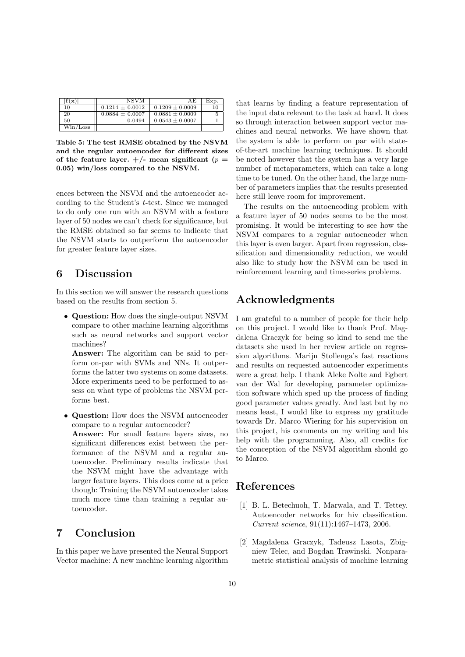| $\mathbf{f}(\mathbf{x})$ | <b>NSVM</b>         | ΑE                  | Exp. |
|--------------------------|---------------------|---------------------|------|
| 10                       | $0.1214 \pm 0.0012$ | $0.1209 \pm 0.0009$ | 10   |
| 20                       | $0.0884 \pm 0.0007$ | $0.0881 \pm 0.0009$ |      |
| 50                       | 0.0494              | $0.0543 \pm 0.0007$ |      |
| Win/Loss                 |                     |                     |      |

Table 5: The test RMSE obtained by the NSVM and the regular autoencoder for different sizes of the feature layer.  $+/-$  mean significant ( $p =$ 0.05) win/loss compared to the NSVM.

ences between the NSVM and the autoencoder according to the Student's t-test. Since we managed to do only one run with an NSVM with a feature layer of 50 nodes we can't check for significance, but the RMSE obtained so far seems to indicate that the NSVM starts to outperform the autoencoder for greater feature layer sizes.

## 6 Discussion

In this section we will answer the research questions based on the results from section 5.

• Question: How does the single-output NSVM compare to other machine learning algorithms such as neural networks and support vector machines?

Answer: The algorithm can be said to perform on-par with SVMs and NNs. It outperforms the latter two systems on some datasets. More experiments need to be performed to assess on what type of problems the NSVM performs best.

• Question: How does the NSVM autoencoder compare to a regular autoencoder?

Answer: For small feature layers sizes, no significant differences exist between the performance of the NSVM and a regular autoencoder. Preliminary results indicate that the NSVM might have the advantage with larger feature layers. This does come at a price though: Training the NSVM autoencoder takes much more time than training a regular autoencoder.

## 7 Conclusion

In this paper we have presented the Neural Support Vector machine: A new machine learning algorithm that learns by finding a feature representation of the input data relevant to the task at hand. It does so through interaction between support vector machines and neural networks. We have shown that the system is able to perform on par with stateof-the-art machine learning techniques. It should be noted however that the system has a very large number of metaparameters, which can take a long time to be tuned. On the other hand, the large number of parameters implies that the results presented here still leave room for improvement.

The results on the autoencoding problem with a feature layer of 50 nodes seems to be the most promising. It would be interesting to see how the NSVM compares to a regular autoencoder when this layer is even larger. Apart from regression, classification and dimensionality reduction, we would also like to study how the NSVM can be used in reinforcement learning and time-series problems.

## Acknowledgments

I am grateful to a number of people for their help on this project. I would like to thank Prof. Magdalena Graczyk for being so kind to send me the datasets she used in her review article on regression algorithms. Marijn Stollenga's fast reactions and results on requested autoencoder experiments were a great help. I thank Aleke Nolte and Egbert van der Wal for developing parameter optimization software which sped up the process of finding good parameter values greatly. And last but by no means least, I would like to express my gratitude towards Dr. Marco Wiering for his supervision on this project, his comments on my writing and his help with the programming. Also, all credits for the conception of the NSVM algorithm should go to Marco.

## References

- [1] B. L. Betechuoh, T. Marwala, and T. Tettey. Autoencoder networks for hiv classification. Current science, 91(11):1467–1473, 2006.
- [2] Magdalena Graczyk, Tadeusz Lasota, Zbigniew Telec, and Bogdan Trawinski. Nonparametric statistical analysis of machine learning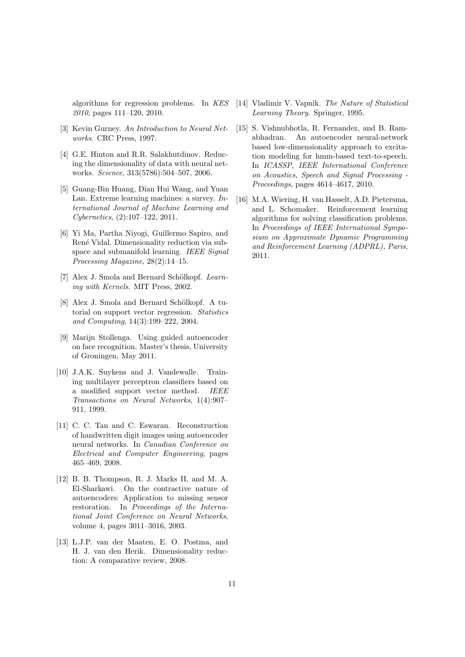algorithms for regression problems. In KES 2010, pages 111–120, 2010.

- [3] Kevin Gurney. An Introduction to Neural Networks. CRC Press, 1997.
- [4] G.E. Hinton and R.R. Salakhutdinov. Reducing the dimensionality of data with neural networks. Science, 313(5786):504–507, 2006.
- [5] Guang-Bin Huang, Dian Hui Wang, and Yuan Lan. Extreme learning machines: a survey. International Journal of Machine Learning and Cybernetics, (2):107–122, 2011.
- [6] Yi Ma, Partha Niyogi, Guillermo Sapiro, and René Vidal. Dimensionality reduction via subspace and submanifold learning. IEEE Signal Processing Magazine, 28(2):14–15.
- [7] Alex J. Smola and Bernard Schölkopf. Learning with Kernels. MIT Press, 2002.
- [8] Alex J. Smola and Bernard Schölkopf. A tutorial on support vector regression. Statistics and Computing, 14(3):199–222, 2004.
- [9] Marijn Stollenga. Using guided autoencoder on face recognition. Master's thesis, University of Groningen, May 2011.
- [10] J.A.K. Suykens and J. Vandewalle. Training multilayer perceptron classifiers based on a modified support vector method. IEEE Transactions on Neural Networks, 1(4):907– 911, 1999.
- [11] C. C. Tan and C. Eswaran. Reconstruction of handwritten digit images using autoencoder neural networks. In Canadian Conference on Electrical and Computer Engineering, pages 465–469, 2008.
- [12] B. B. Thompson, R. J. Marks II, and M. A. El-Sharkawi. On the contractive nature of autoencoders: Application to missing sensor restoration. In Proceedings of the International Joint Conference on Neural Networks, volume 4, pages 3011–3016, 2003.
- [13] L.J.P. van der Maaten, E. O. Postma, and H. J. van den Herik. Dimensionality reduction: A comparative review, 2008.
- [14] Vladimir V. Vapnik. The Nature of Statistical Learning Theory. Springer, 1995.
- [15] S. Vishnubhotla, R. Fernandez, and B. Ramabhadran. An autoencoder neural-network based low-dimensionality approach to excitation modeling for hmm-based text-to-speech. In ICASSP, IEEE International Conference on Acoustics, Speech and Signal Processing - Proceedings, pages 4614–4617, 2010.
- [16] M.A. Wiering, H. van Hasselt, A.D. Pietersma, and L. Schomaker. Reinforcement learning algorithms for solving classification problems. In Proceedings of IEEE International Symposium on Approximate Dynamic Programming and Reinforcement Learning (ADPRL), Paris, 2011.